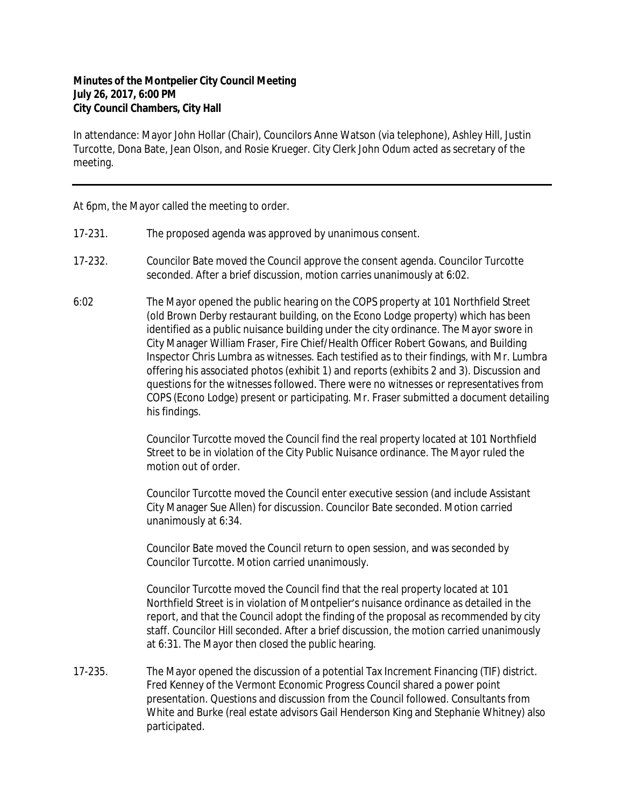## **Minutes of the Montpelier City Council Meeting July 26, 2017, 6:00 PM City Council Chambers, City Hall**

In attendance: Mayor John Hollar (Chair), Councilors Anne Watson (via telephone), Ashley Hill, Justin Turcotte, Dona Bate, Jean Olson, and Rosie Krueger. City Clerk John Odum acted as secretary of the meeting.

At 6pm, the Mayor called the meeting to order.

- 17-231. The proposed agenda was approved by unanimous consent.
- 17-232. Councilor Bate moved the Council approve the consent agenda. Councilor Turcotte seconded. After a brief discussion, motion carries unanimously at 6:02.
- 6:02 The Mayor opened the public hearing on the COPS property at 101 Northfield Street (old Brown Derby restaurant building, on the Econo Lodge property) which has been identified as a public nuisance building under the city ordinance. The Mayor swore in City Manager William Fraser, Fire Chief/Health Officer Robert Gowans, and Building Inspector Chris Lumbra as witnesses. Each testified as to their findings, with Mr. Lumbra offering his associated photos (exhibit 1) and reports (exhibits 2 and 3). Discussion and questions for the witnesses followed. There were no witnesses or representatives from COPS (Econo Lodge) present or participating. Mr. Fraser submitted a document detailing his findings.

Councilor Turcotte moved the Council find the real property located at 101 Northfield Street to be in violation of the City Public Nuisance ordinance. The Mayor ruled the motion out of order.

Councilor Turcotte moved the Council enter executive session (and include Assistant City Manager Sue Allen) for discussion. Councilor Bate seconded. Motion carried unanimously at 6:34.

Councilor Bate moved the Council return to open session, and was seconded by Councilor Turcotte. Motion carried unanimously.

Councilor Turcotte moved the Council find that the real property located at 101 Northfield Street is in violation of Montpelier's nuisance ordinance as detailed in the report, and that the Council adopt the finding of the proposal as recommended by city staff. Councilor Hill seconded. After a brief discussion, the motion carried unanimously at 6:31. The Mayor then closed the public hearing.

17-235. The Mayor opened the discussion of a potential Tax Increment Financing (TIF) district. Fred Kenney of the Vermont Economic Progress Council shared a power point presentation. Questions and discussion from the Council followed. Consultants from White and Burke (real estate advisors Gail Henderson King and Stephanie Whitney) also participated.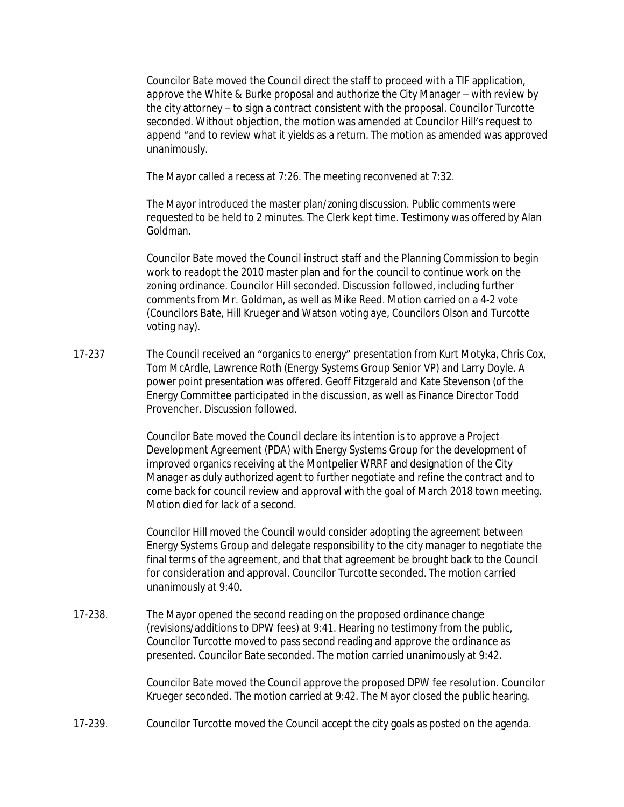Councilor Bate moved the Council direct the staff to proceed with a TIF application, approve the White & Burke proposal and authorize the City Manager – with review by the city attorney – to sign a contract consistent with the proposal. Councilor Turcotte seconded. Without objection, the motion was amended at Councilor Hill's request to append "and to review what it yields as a return. The motion as amended was approved unanimously.

The Mayor called a recess at 7:26. The meeting reconvened at 7:32.

The Mayor introduced the master plan/zoning discussion. Public comments were requested to be held to 2 minutes. The Clerk kept time. Testimony was offered by Alan Goldman.

Councilor Bate moved the Council instruct staff and the Planning Commission to begin work to readopt the 2010 master plan and for the council to continue work on the zoning ordinance. Councilor Hill seconded. Discussion followed, including further comments from Mr. Goldman, as well as Mike Reed. Motion carried on a 4-2 vote (Councilors Bate, Hill Krueger and Watson voting aye, Councilors Olson and Turcotte voting nay).

17-237 The Council received an "organics to energy" presentation from Kurt Motyka, Chris Cox, Tom McArdle, Lawrence Roth (Energy Systems Group Senior VP) and Larry Doyle. A power point presentation was offered. Geoff Fitzgerald and Kate Stevenson (of the Energy Committee participated in the discussion, as well as Finance Director Todd Provencher. Discussion followed.

> Councilor Bate moved the Council declare its intention is to approve a Project Development Agreement (PDA) with Energy Systems Group for the development of improved organics receiving at the Montpelier WRRF and designation of the City Manager as duly authorized agent to further negotiate and refine the contract and to come back for council review and approval with the goal of March 2018 town meeting. Motion died for lack of a second.

> Councilor Hill moved the Council would consider adopting the agreement between Energy Systems Group and delegate responsibility to the city manager to negotiate the final terms of the agreement, and that that agreement be brought back to the Council for consideration and approval. Councilor Turcotte seconded. The motion carried unanimously at 9:40.

17-238. The Mayor opened the second reading on the proposed ordinance change (revisions/additions to DPW fees) at 9:41. Hearing no testimony from the public, Councilor Turcotte moved to pass second reading and approve the ordinance as presented. Councilor Bate seconded. The motion carried unanimously at 9:42.

> Councilor Bate moved the Council approve the proposed DPW fee resolution. Councilor Krueger seconded. The motion carried at 9:42. The Mayor closed the public hearing.

17-239. Councilor Turcotte moved the Council accept the city goals as posted on the agenda.